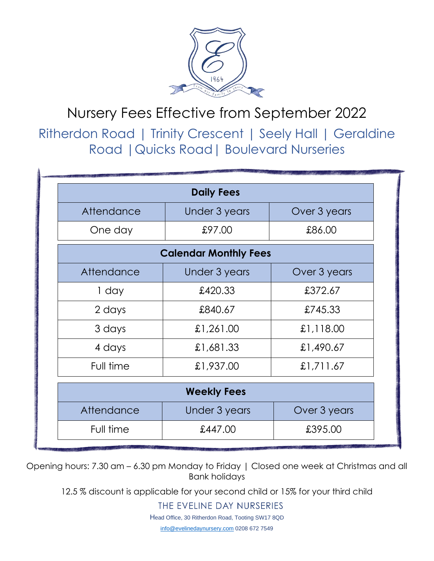

## Nursery Fees Effective from September 2022

Ritherdon Road | Trinity Crescent | Seely Hall | Geraldine Road |Quicks Road| Boulevard Nurseries

|            | <b>Daily Fees</b>            |              |
|------------|------------------------------|--------------|
| Attendance | Under 3 years                | Over 3 years |
| One day    | £97.00                       | £86.00       |
|            | <b>Calendar Monthly Fees</b> |              |
| Attendance | <b>Under 3 years</b>         | Over 3 years |
| 1 day      | £420.33                      | £372.67      |
| 2 days     | £840.67                      | £745.33      |
| 3 days     | £1,261.00                    | £1,118.00    |
| 4 days     | £1,681.33                    | £1,490.67    |
| Full time  | £1,937.00                    | £1,711.67    |
|            | <b>Weekly Fees</b>           |              |
| Attendance | Under 3 years                | Over 3 years |
| Full time  | £447.00                      | £395.00      |

Opening hours: 7.30 am – 6.30 pm Monday to Friday | Closed one week at Christmas and all Bank holidays

12.5 % discount is applicable for your second child or 15% for your third child

THE EVELINE DAY NURSERIES

Head Office, 30 Ritherdon Road, Tooting SW17 8QD

[info@evelinedaynursery.com](mailto:info@evelinedaynursery.com) 0208 672 7549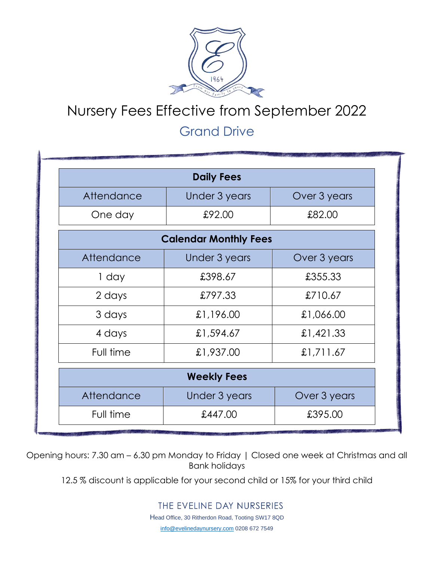

## Nursery Fees Effective from September 2022

## Grand Drive

|            | <b>Daily Fees</b>            |              |
|------------|------------------------------|--------------|
| Attendance | Under 3 years                | Over 3 years |
| One day    | £92.00                       | £82.00       |
|            | <b>Calendar Monthly Fees</b> |              |
| Attendance | <b>Under 3 years</b>         | Over 3 years |
| 1 day      | £398.67                      | £355.33      |
| 2 days     | £797.33                      | £710.67      |
| 3 days     | £1,196.00                    | £1,066.00    |
| 4 days     | £1,594.67                    | £1,421.33    |
| Full time  | £1,937.00                    | £1,711.67    |
|            | <b>Weekly Fees</b>           |              |
| Attendance | Under 3 years                | Over 3 years |
| Full time  | £447.00                      | £395.00      |

Opening hours: 7.30 am – 6.30 pm Monday to Friday | Closed one week at Christmas and all Bank holidays

12.5 % discount is applicable for your second child or 15% for your third child

THE EVELINE DAY NURSERIES

Head Office, 30 Ritherdon Road, Tooting SW17 8QD

[info@evelinedaynursery.com](mailto:info@evelinedaynursery.com) 0208 672 7549